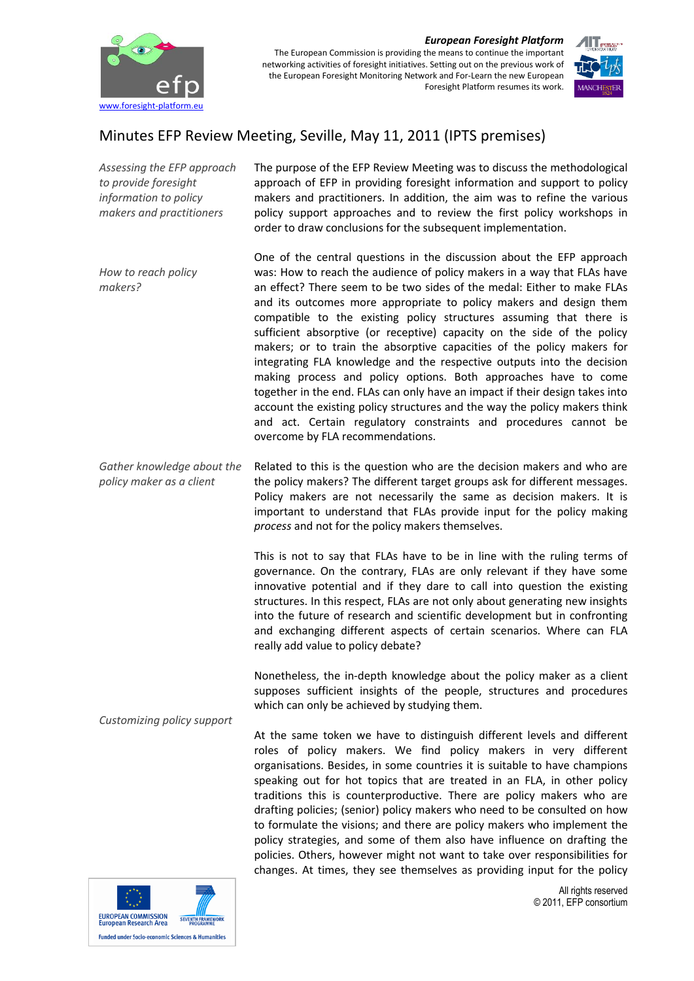

## *European Foresight Platform*

The European Commission is providing the means to continue the important networking activities of foresight initiatives. Setting out on the previous work of the European Foresight Monitoring Network and For-Learn the new European Foresight Platform resumes its work.



## Minutes EFP Review Meeting, Seville, May 11, 2011 (IPTS premises)

*Assessing the EFP approach to provide foresight information to policy makers and practitioners How to reach policy makers? Gather knowledge about the policy maker as a client Customizing policy support* The purpose of the EFP Review Meeting was to discuss the methodological approach of EFP in providing foresight information and support to policy makers and practitioners. In addition, the aim was to refine the various policy support approaches and to review the first policy workshops in order to draw conclusions for the subsequent implementation. One of the central questions in the discussion about the EFP approach was: How to reach the audience of policy makers in a way that FLAs have an effect? There seem to be two sides of the medal: Either to make FLAs and its outcomes more appropriate to policy makers and design them compatible to the existing policy structures assuming that there is sufficient absorptive (or receptive) capacity on the side of the policy makers; or to train the absorptive capacities of the policy makers for integrating FLA knowledge and the respective outputs into the decision making process and policy options. Both approaches have to come together in the end. FLAs can only have an impact if their design takes into account the existing policy structures and the way the policy makers think and act. Certain regulatory constraints and procedures cannot be overcome by FLA recommendations. Related to this is the question who are the decision makers and who are the policy makers? The different target groups ask for different messages. Policy makers are not necessarily the same as decision makers. It is important to understand that FLAs provide input for the policy making *process* and not for the policy makers themselves. This is not to say that FLAs have to be in line with the ruling terms of governance. On the contrary, FLAs are only relevant if they have some innovative potential and if they dare to call into question the existing structures. In this respect, FLAs are not only about generating new insights into the future of research and scientific development but in confronting and exchanging different aspects of certain scenarios. Where can FLA really add value to policy debate? Nonetheless, the in-depth knowledge about the policy maker as a client supposes sufficient insights of the people, structures and procedures which can only be achieved by studying them. At the same token we have to distinguish different levels and different roles of policy makers. We find policy makers in very different organisations. Besides, in some countries it is suitable to have champions

speaking out for hot topics that are treated in an FLA, in other policy traditions this is counterproductive. There are policy makers who are drafting policies; (senior) policy makers who need to be consulted on how to formulate the visions; and there are policy makers who implement the policy strategies, and some of them also have influence on drafting the policies. Others, however might not want to take over responsibilities for changes. At times, they see themselves as providing input for the policy



All rights reserved © 2011, EFP consortium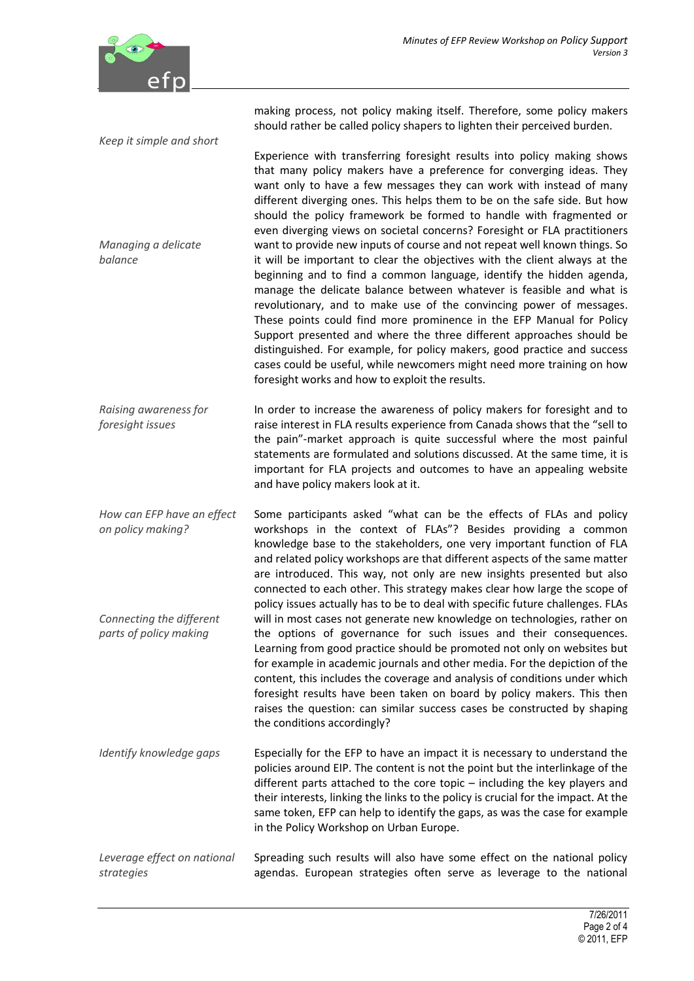

*Keep it simple and short*

making process, not policy making itself. Therefore, some policy makers should rather be called policy shapers to lighten their perceived burden.

*Managing a delicate balance* Experience with transferring foresight results into policy making shows that many policy makers have a preference for converging ideas. They want only to have a few messages they can work with instead of many different diverging ones. This helps them to be on the safe side. But how should the policy framework be formed to handle with fragmented or even diverging views on societal concerns? Foresight or FLA practitioners want to provide new inputs of course and not repeat well known things. So it will be important to clear the objectives with the client always at the beginning and to find a common language, identify the hidden agenda, manage the delicate balance between whatever is feasible and what is revolutionary, and to make use of the convincing power of messages. These points could find more prominence in the EFP Manual for Policy Support presented and where the three different approaches should be distinguished. For example, for policy makers, good practice and success cases could be useful, while newcomers might need more training on how foresight works and how to exploit the results.

*Raising awareness for foresight issues* In order to increase the awareness of policy makers for foresight and to raise interest in FLA results experience from Canada shows that the "sell to the pain"-market approach is quite successful where the most painful statements are formulated and solutions discussed. At the same time, it is important for FLA projects and outcomes to have an appealing website and have policy makers look at it.

*How can EFP have an effect on policy making? Connecting the different parts of policy making* Some participants asked "what can be the effects of FLAs and policy workshops in the context of FLAs"? Besides providing a common knowledge base to the stakeholders, one very important function of FLA and related policy workshops are that different aspects of the same matter are introduced. This way, not only are new insights presented but also connected to each other. This strategy makes clear how large the scope of policy issues actually has to be to deal with specific future challenges. FLAs will in most cases not generate new knowledge on technologies, rather on the options of governance for such issues and their consequences. Learning from good practice should be promoted not only on websites but for example in academic journals and other media. For the depiction of the content, this includes the coverage and analysis of conditions under which foresight results have been taken on board by policy makers. This then raises the question: can similar success cases be constructed by shaping the conditions accordingly?

*Identify knowledge gaps* Especially for the EFP to have an impact it is necessary to understand the policies around EIP. The content is not the point but the interlinkage of the different parts attached to the core topic – including the key players and their interests, linking the links to the policy is crucial for the impact. At the same token, EFP can help to identify the gaps, as was the case for example in the Policy Workshop on Urban Europe.

*Leverage effect on national strategies* Spreading such results will also have some effect on the national policy agendas. European strategies often serve as leverage to the national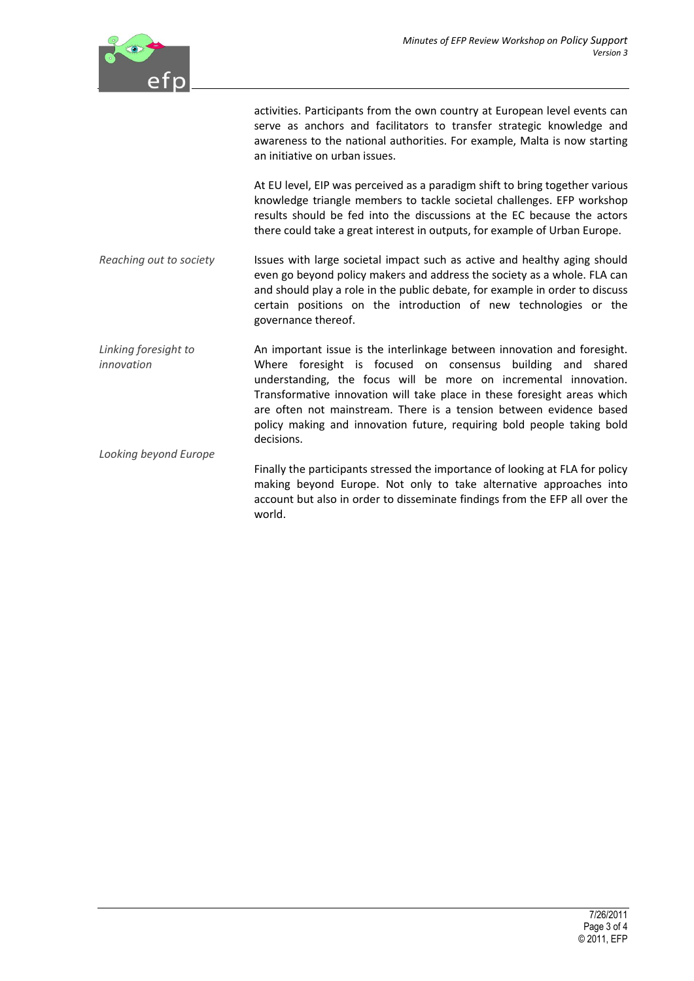

activities. Participants from the own country at European level events can serve as anchors and facilitators to transfer strategic knowledge and awareness to the national authorities. For example, Malta is now starting an initiative on urban issues. At EU level, EIP was perceived as a paradigm shift to bring together various knowledge triangle members to tackle societal challenges. EFP workshop results should be fed into the discussions at the EC because the actors there could take a great interest in outputs, for example of Urban Europe. *Reaching out to society Linking foresight to innovation Looking beyond Europe* Issues with large societal impact such as active and healthy aging should even go beyond policy makers and address the society as a whole. FLA can and should play a role in the public debate, for example in order to discuss certain positions on the introduction of new technologies or the governance thereof. An important issue is the interlinkage between innovation and foresight. Where foresight is focused on consensus building and shared understanding, the focus will be more on incremental innovation. Transformative innovation will take place in these foresight areas which are often not mainstream. There is a tension between evidence based policy making and innovation future, requiring bold people taking bold decisions. Finally the participants stressed the importance of looking at FLA for policy making beyond Europe. Not only to take alternative approaches into account but also in order to disseminate findings from the EFP all over the world.